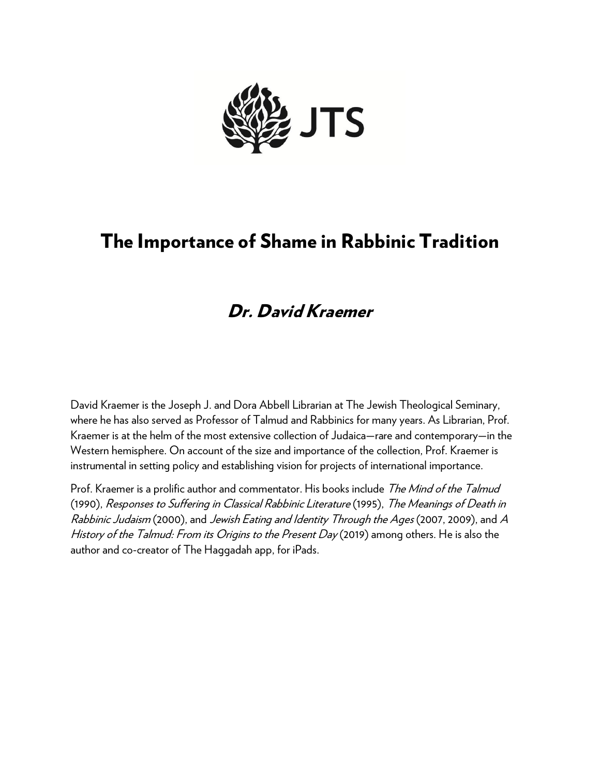

# The Importance of Shame in Rabbinic Tradition

# Dr. David Kraemer

David Kraemer is the Joseph J. and Dora Abbell Librarian at The Jewish Theological Seminary, where he has also served as Professor of Talmud and Rabbinics for many years. As Librarian, Prof. Kraemer is at the helm of the most extensive collection of Judaica—rare and contemporary—in the Western hemisphere. On account of the size and importance of the collection, Prof. Kraemer is instrumental in setting policy and establishing vision for projects of international importance.

Prof. Kraemer is a prolific author and commentator. His books include The Mind of the Talmud (1990), Responses to Suffering in Classical Rabbinic Literature (1995), The Meanings of Death in Rabbinic Judaism (2000), and Jewish Eating and Identity Through the Ages (2007, 2009), and A History of the Talmud: From its Origins to the Present Day (2019) among others. He is also the author and co-creator of The Haggadah app, for iPads.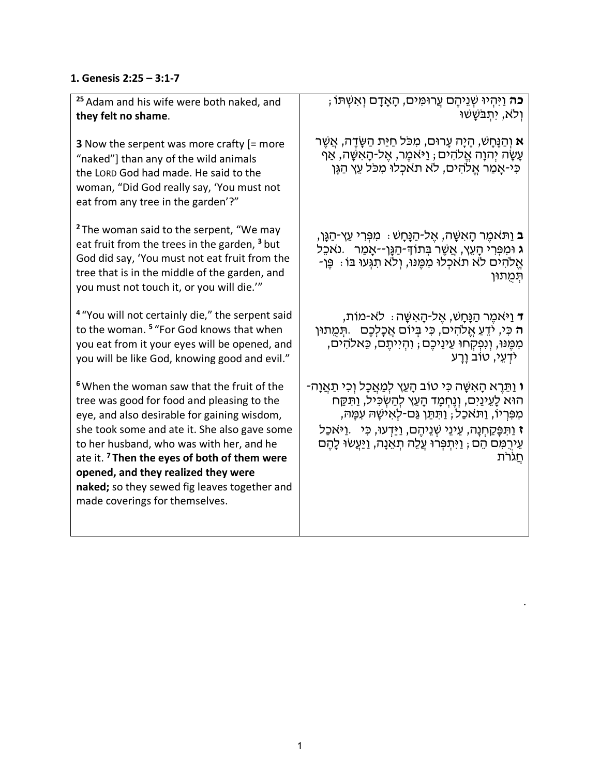### **1. Genesis 2:25 – 3:1-7**

| <sup>25</sup> Adam and his wife were both naked, and<br>they felt no shame.                                                                                                                                                                                                                                                                                                                                                        | <del>ָ כֹּה</del> וַיִּהְיוּ שְׁנֵיהֶם עֲרוּמִּים, הָאָדָם וְאִשְׁתּוֹ<br>ולא, יִתְבֹּשָׁשׁוּ                                                                                                                                                                                                                                                     |
|------------------------------------------------------------------------------------------------------------------------------------------------------------------------------------------------------------------------------------------------------------------------------------------------------------------------------------------------------------------------------------------------------------------------------------|---------------------------------------------------------------------------------------------------------------------------------------------------------------------------------------------------------------------------------------------------------------------------------------------------------------------------------------------------|
| <b>3</b> Now the serpent was more crafty $[=$ more<br>"naked"] than any of the wild animals<br>the LORD God had made. He said to the<br>woman, "Did God really say, 'You must not<br>eat from any tree in the garden'?"                                                                                                                                                                                                            | <b>א</b> וְהַנָּחָשׁ, הָיָה עָרוּם, מִכֹּל חַיַּת הַשֲׂדֵה, אֲשֵׁר<br>עָשָׂה יְהוָה אֱלֹהִים ; וַיּאמֶר, אֶל-הָאִשָּׁה, אַף<br>כִּי-אָמַר אֱלֹהִים, לֹא תֹאכְלוּ מִכֹּל עֵץ הַגָּן                                                                                                                                                                |
| <sup>2</sup> The woman said to the serpent, "We may<br>eat fruit from the trees in the garden, <sup>3</sup> but<br>God did say, 'You must not eat fruit from the<br>tree that is in the middle of the garden, and<br>you must not touch it, or you will die.""                                                                                                                                                                     | <b>ּב</b> וַתּאמֵר הָאִשָּׁה, אֵל-הַנָּחָשׁ ִּ מִפְּרִי עֵץ-הַנֶּן,<br>ּג וּמִפְּרִי הָעֵץ, אֲשֵׁר בִּתוֹדְּ-הַגֶּן־-אָמַר ).נאַכֵּל<br>ּאֱלֹהִים לֹא תֹאכְלוּ מְמֵנוּ, וְלֹא תְגְּעוּ בּוֹ : פֵּן-<br>תִּמְתוּן                                                                                                                                  |
| <sup>4</sup> "You will not certainly die," the serpent said<br>to the woman. <sup>5</sup> "For God knows that when<br>you eat from it your eyes will be opened, and<br>you will be like God, knowing good and evil."                                                                                                                                                                                                               | ד וַיּאמֵר הַנָּחָשׁ, אֵל-הָאִשָּׁה ּ: לֹא-מוֹת,<br>ה כִּי, יֹדֵעַ אֱלֹהִים, כִּי בִּיוֹם אֲכָלִכֵם _ תִּמְתוּן<br>מִמֶּנּוּ, וְנִפְקְחוּ עֵינֵיכֶם ; וִהְיִיתֶם, כֵּאלֹהִים,<br>י <i>ֹּ</i> דְעֵי, טוֹב וַרַע                                                                                                                                    |
| <sup>6</sup> When the woman saw that the fruit of the<br>tree was good for food and pleasing to the<br>eye, and also desirable for gaining wisdom,<br>she took some and ate it. She also gave some<br>to her husband, who was with her, and he<br>ate it. <sup>7</sup> Then the eyes of both of them were<br>opened, and they realized they were<br>naked; so they sewed fig leaves together and<br>made coverings for themselves. | ּי וַתֵּרֵא הָאִשָּׁה כִּי טוֹב הָעֵץ לִמַּאֲכָל וִכִי תַאֲוָה-<br>הוּא לָעֵינַיִם, וְנֶחְמָד הָעֵץ לְהַשְׂכִּיל, וַתִּקַּח<br>מִפְּרִיוֹ, וַתּּאכַל ; וַתִּתֵּן גַּם-לְאִישָׁהּ עִמָּהּ,<br><b>ז</b> וַתִּפָּקַחִנָה, עֵינֵי שָׁנֵיהֵם, וַיֵּדְעוּ, כִּי ) וַיּאַכַל<br>עֵירָמִם הֵם ; וַיִּתִפְּרוּ עֵלֵה תָאֵנָה, וַיַּעֲשׂוּ לָהֵם<br>חַגֹרֹת |

.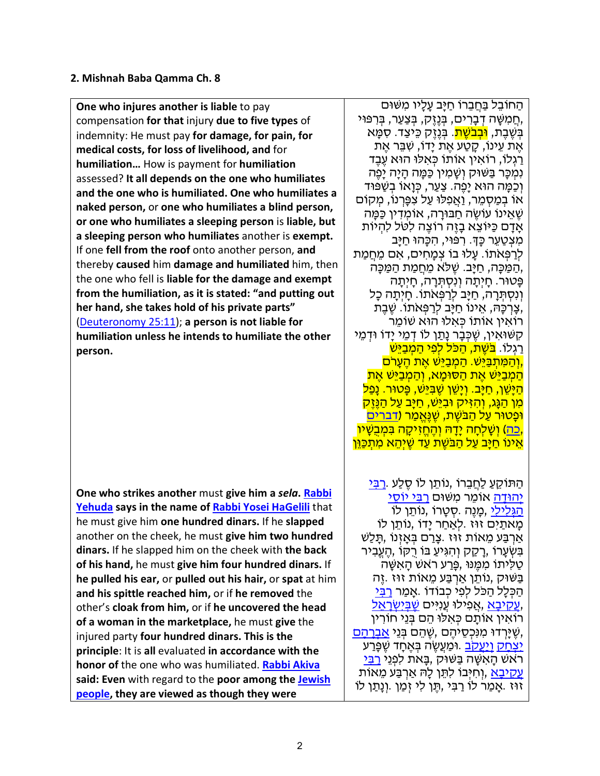#### **2. Mishnah Baba Qamma Ch. 8**

**One who injures another is liable** to pay compensation **for that** injury **due to five types** of indemnity: He must pay **for damage, for pain, for medical costs, for loss of livelihood, and** for **humiliation…** How is payment for **humiliation** assessed? **It all depends on the one who humiliates and the one who is humiliated. One who humiliates a naked person,** or **one who humiliates a blind person, or one who humiliates a sleeping person** is **liable, but a sleeping person who humiliates** another is **exempt.** If one **fell from the roof** onto another person, **and** thereby **caused** him **damage and humiliated** him, then the one who fell is **liable for the damage and exempt from the humiliation, as it is stated: "and putting out her hand, she takes hold of his private parts"** (Deuteronomy 25:11); **a person is not liable for humiliation unless he intends to humiliate the other person.**

**One who strikes another** must **give him a** *sela***. Rabbi Yehuda says in the name of Rabbi Yosei HaGelili** that he must give him **one hundred dinars.** If he **slapped** another on the cheek, he must **give him two hundred dinars.** If he slapped him on the cheek with **the back of his hand,** he must **give him four hundred dinars.** If **he pulled his ear,** or **pulled out his hair,** or **spat** at him **and his spittle reached him,** or if **he removed** the other's **cloak from him,** or if **he uncovered the head of a woman in the marketplace,** he must **give** the injured party **four hundred dinars. This is the principle**: It is **all** evaluated **in accordance with the honor of** the one who was humiliated. **Rabbi Akiva said: Even** with regard to the **poor among the Jewish people, they are viewed as though they were** 

ּ הַחוֹבֵל בַּחֲבֵרוֹ חַיַּב עַלֵיו מִשּׁוּם ְחֵמִשָּׁה דְָבָרִים, בְּנֶזֶק, בְּצַעַר, בְּרִפּוּי,<br>בִּשֶׁבֵת, <mark>וּבִבֹשֵׁת</mark>. בִּנֶזֶק כֵּיצַד. סִמַּא את עינוֹ, קטע את ידוֹ, שִׁבֵּר אֶת ַרַגְלוֹ, רוֹאִין אוֹתוֹ כְּאִלּוּ הוּא עֶבֶד נִמְכַּר בַּשּׁוּק וְשָׁמְין כַּמַּה הַיָּה יַפֵּה וְכַמַּה הוּא יַפֵּה. צַעַר, כְּוַאוֹ בְשַׁפּוּד אוֹ בְמַסְמֵר, וַאֲפְלוּ עַל צִפְּרְנוֹ, מִקוֹם ְשֶׁאֱינוֹ עוֹשֶׂה חַבּוּרַה, אוֹמִדְין כַּמֵּה אַדַם כַּיּוֹצֵא בַזֶּה רוֹצֵה לִטֹּל לִהְיוֹת מִצְטַעֵר כָּךָ. רִפּוּי, הִכָּהוּ חַיָּב לְרַפְּאֹתוֹ. עַלוּ בוֹ צְמַחִים, אִם מֵחֲמַת ,הַ מַּ כָּה, חַ יָּב. שֶׁ לּ ֹא מֵ חֲ מַ ת הַ מַּ כָּה פָּטוּר. חָ יְתָ ה וְ נִסְ תְּ רָ ה, חָ יְתָ ה וְנִסְתְּרָה, חַיָּב לְרַפְּאֹתוֹ. חָיִתָה כָל ,צַרְכָּהּ, אֵינוֹ חַיַּב לְרַפְּאֹתוֹ. שֶׁבֶת רוֹאִ ין אוֹתוֹ כְּ אִ לוּ הוּא שׁוֹמֵ ר קִשּׁוּאִין, שֵׁכְּבַר נַתַּו לוֹ דְמֵי יַדוֹ וּדְמֵי ַרַגְלוֹ. <mark>בֹּשֶׁת, הַכּל לְפִי הַמְבַיֵּשׁ</mark> ֶן הַמְּתְבַּיֵּשׁ. הַמְבַיֵּשׁ אֶת הֶעָרֹם,<br>הַמְבַיֵּשׁ אֶת הַסוּמָא, וְהַמְבַיֵּשׁ אֵת <u>ּהַיִּשֶׁן, חַיָּב. וְיַשֶׁן שֶׁבְּיֵּשׁ, פֵּטוּר. נַפַל</u> <mark>מִן הַגָּג, וְהִזִּיק וּבְיֵּשׁ, חַיָּב עַל הַנֵּזֵק</mark> <mark>וּפַטוּר עַל הַבֹּשֵׁת, שֵׁנֵּאֲמַר (דברים</mark> <u>ְּכִה) וְשָׁלְחָה יָדָה וְהֶחֱזִיקָה בִּמְבָשָׁיוֹ,</u><br>אֵינוֹ חַיַּב עַל הַבּשֶׁת עַד שֵׁיִהֶא מְתִכְּוֵן

ֿהַתּוֹקֵעַ לַחֲבֵרוֹ ,נוֹתֵן לוֹ סֵלַע .<u>רִבִּי</u> יְ<u>הוּדָה</u> אוֹמֵר מִשּׁוּם <u>רִבְּי יוֹסֵ</u>י הַ הַגְּלִילֵי, מְנֶה .סְטַרוֹ ,נוֹתֵן לוֹ ּ מַאתַיִם זוּז .לְאֲחַר יַדוֹ ,נוֹתֵן לוֹ ּ אַרְבַּע מֵאוֹת זוּז .צָרַם בִּאָזְנוֹ ,תָּלַשׁ ָ בִּשְׂעַרוֹ ,רַקֵק וְהִגִּיעַ בּוֹ רִקּוֹ ,הֵעֱבָיר ַטַלְיתוֹ מִמֶּנּוּ ,פָּרַע רֹאשׁ הַאָשָּׁה בַּ שּׁוּק ,נוֹתֵ ן אַ רְ בַּ ע מֵ אוֹת זוּז .זֶה ּ הַכְּלָל הַכֹּל לִפְי כִבוֹדוֹ .אָמַר <u>רִבְּי</u> <u>עֲקִיבָא</u> ,אֲפִילוּ עֲנִיִּים <u>שֶׁבְּיִשְׂרָאֵל ,</u><br>רוֹאִין אוֹתֵם כִּאִלּוּ הֵם בְּנֵי חוֹרִין ְשֶׁיָּרְדוּ מִנִּכְסֵיהֶם ,שֶׁהֵם בְּנֵי <u>אַבְרָהָם ,</u><br><u>יִצְחַק וְיַעֲקֹב</u> .וּמַעֲשֶׂה בְּאֵחָד שֵׁפַּרַע ֿרֹאשׁ הַאִשָּׁה בַּשּׁוּק ,בַּאת לִפְנֵי <u>רִבְּ</u>י <u>ַעֲקִיבָא</u> ,וְחִיְּבוֹ לִתֵּן לַהּ אַרְבַּע מֵאוֹת זוּז .אָמַר לוֹ רַבִּי ,תֵּן לִי זִמַן .וְנָתַן לוֹ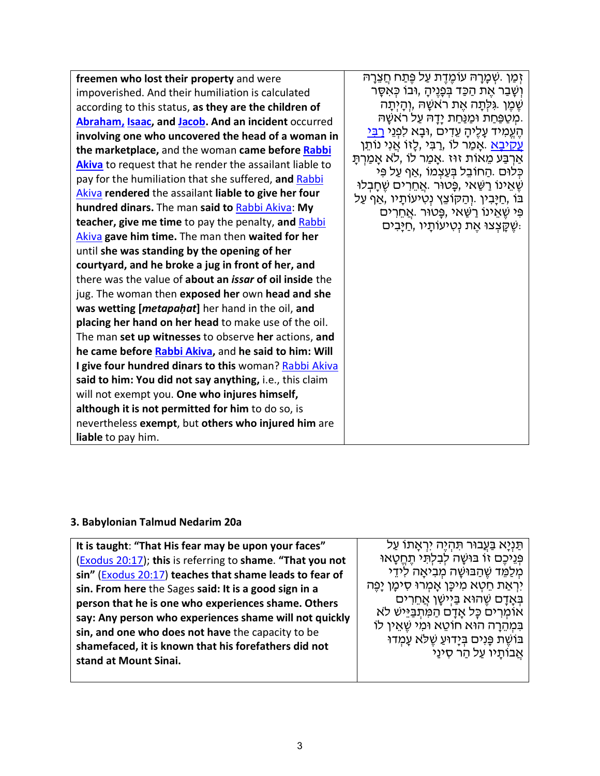| freemen who lost their property and were                              | זְמַן .שְׁמַרַהּ עוֹמֶדֶת עַל פֵּתַח חֲצֵרַהּ                                                    |
|-----------------------------------------------------------------------|--------------------------------------------------------------------------------------------------|
| impoverished. And their humiliation is calculated                     | וְשָׁבַר אֵת הַכַּד בִּפָּנֵיהָ ,וּבוֹ כִּאִסָּר                                                 |
| according to this status, as they are the children of                 | ֹשֵׁמֵן גִּלְתַה אֶת רֹאשָׁהּ ,וְהַיְתַה                                                         |
| Abraham, Isaac, and Jacob. And an incident occurred                   | ַמְטַפַּחַת וּמַנַּחַת יָדָהּ עַל רֹאשָׁהּ.                                                      |
| involving one who uncovered the head of a woman in                    | הֵעֱמִיד עָלֵיהָ עֵדִים ,וּבָא לִפְנֵי <u>רִבִּי</u>                                             |
| the marketplace, and the woman came before Rabbi                      | <u>ַעַקיבָא</u> .אַמַר לוֹ ,רַבִּי ,לֵזוֹ אֲנִי נוֹתֵן                                           |
| <b>Akiva</b> to request that he render the assailant liable to        | אַרְבַּע מֵאוֹת זוּז .אַמַר לוֹ ,לֹא אַמַרְתַּ                                                   |
| pay for the humiliation that she suffered, and Rabbi                  | ַכְּלוּם .הַחוֹבֵל בְּעֲצְמוֹ ,אֲף עַל פִּי<br>ֹשֵׁאֵינוֹ רַשַּׁאי ,פָּטוּר .אֲחֵרִים שֵׁחָבְלוּ |
| Akiva rendered the assailant liable to give her four                  | בּוֹ ,חַיָּבִין .וְהַקוֹצֵץ נְטִיעוֹתָיו ,אַף עַל                                                |
| <b>hundred dinars.</b> The man said to Rabbi Akiva: My                | פִּי שֶׁאֱינוֹ רַשַּׁאַי,פֶּטוּר .אֱחֱרִים                                                       |
| <b>teacher, give me time</b> to pay the penalty, and Rabbi            | ַשְׁקָצְצוּ אֶת נְטִיעוֹתָיו ,חַיַּבִים:                                                         |
| Akiva gave him time. The man then waited for her                      |                                                                                                  |
| until she was standing by the opening of her                          |                                                                                                  |
| courtyard, and he broke a jug in front of her, and                    |                                                                                                  |
| there was the value of <b>about an <i>issar</i> of oil inside</b> the |                                                                                                  |
| jug. The woman then exposed her own head and she                      |                                                                                                  |
| was wetting [metapahat] her hand in the oil, and                      |                                                                                                  |
| placing her hand on her head to make use of the oil.                  |                                                                                                  |
| The man set up witnesses to observe her actions, and                  |                                                                                                  |
| he came before Rabbi Akiva, and he said to him: Will                  |                                                                                                  |
| I give four hundred dinars to this woman? Rabbi Akiva                 |                                                                                                  |
| said to him: You did not say anything, i.e., this claim               |                                                                                                  |
| will not exempt you. One who injures himself,                         |                                                                                                  |
| although it is not permitted for him to do so, is                     |                                                                                                  |
| nevertheless exempt, but others who injured him are                   |                                                                                                  |
| <b>liable</b> to pay him.                                             |                                                                                                  |

## **3. Babylonian Talmud Nedarim 20a**

| ּבּוֹשֵׁת פָּנִים בִּיָדוּעַ שֵׁלֹא עָמְדוּ<br>shamefaced, it is known that his forefathers did not<br>אֲבוֹתָיו עַל הַר סִינַי<br>stand at Mount Sinai. |
|----------------------------------------------------------------------------------------------------------------------------------------------------------|
|----------------------------------------------------------------------------------------------------------------------------------------------------------|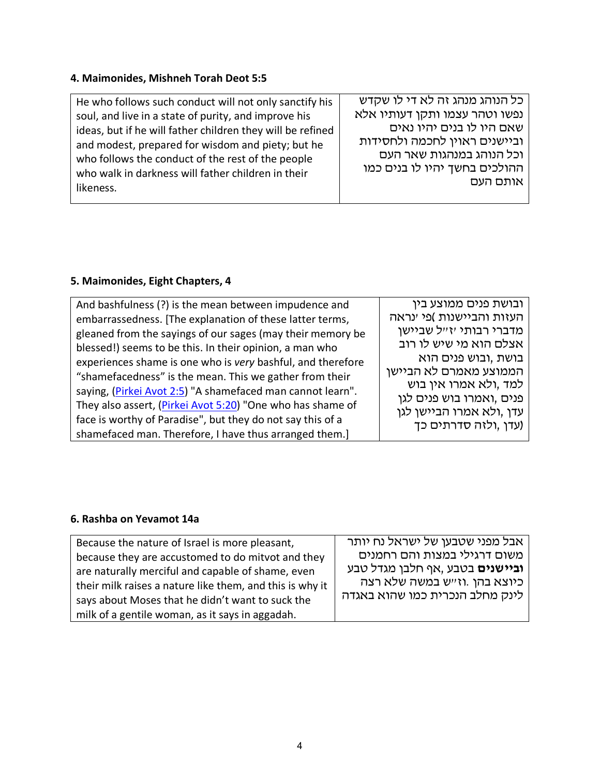#### **4. Maimonides, Mishneh Torah Deot 5:5**

He who follows such conduct will not only sanctify his soul, and live in a state of purity, and improve his ideas, but if he will father children they will be refined and modest, prepared for wisdom and piety; but he who follows the conduct of the rest of the people who walk in darkness will father children in their likeness.

כל הנוהג מנהג זה לא די לו שקדש נפשו וטהר עצמו ותקן דעותיו אלא שאם היו לו בנים יהיו נאים וביישנים ראוין לחכמה ולחסידות וכל הנוהג במנהגות שאר העם ההולכים בחשך יהיו לו בנים כמו אותם העם

#### **5. Maimonides, Eight Chapters, 4**

| And bashfulness (?) is the mean between impudence and       | ובושת פנים ממוצע בין      |
|-------------------------------------------------------------|---------------------------|
| embarrassedness. [The explanation of these latter terms,    | העזות והביישנות )פי ינראה |
| gleaned from the sayings of our sages (may their memory be  | מדברי רבותי יזייל שביישן  |
| blessed!) seems to be this. In their opinion, a man who     | אצלם הוא מי שיש לו רוב    |
| experiences shame is one who is very bashful, and therefore | בושת ,ובוש פנים הוא       |
| "shamefacedness" is the mean. This we gather from their     | הממוצע מאמרם לא הביישן    |
| saying, (Pirkei Avot 2:5) "A shamefaced man cannot learn".  | למד ,ולא אמרו אין בוש     |
| They also assert, (Pirkei Avot 5:20) "One who has shame of  | פנים ,ואמרו בוש פנים לגן  |
| face is worthy of Paradise", but they do not say this of a  | עדן ,ולא אמרו הביישן לגן  |
|                                                             | (עדן ,ולזה סדרתים כך      |
| shamefaced man. Therefore, I have thus arranged them.]      |                           |

#### **6. Rashba on Yevamot 14a**

| Because the nature of Israel is more pleasant,           | אבל מפני שטבען של ישראל נח יותר        |  |
|----------------------------------------------------------|----------------------------------------|--|
| because they are accustomed to do mitvot and they        | משום דרגילי במצות והם רחמנים           |  |
| are naturally merciful and capable of shame, even        | <b>וביישנים</b> בטבע ,אף חלבן מגדל טבע |  |
| their milk raises a nature like them, and this is why it | כיוצא בהן .וז״ש במשה שלא רצה           |  |
| says about Moses that he didn't want to suck the         | לינק מחלב הנכרית כמו שהוא באגדה        |  |
| milk of a gentile woman, as it says in aggadah.          |                                        |  |